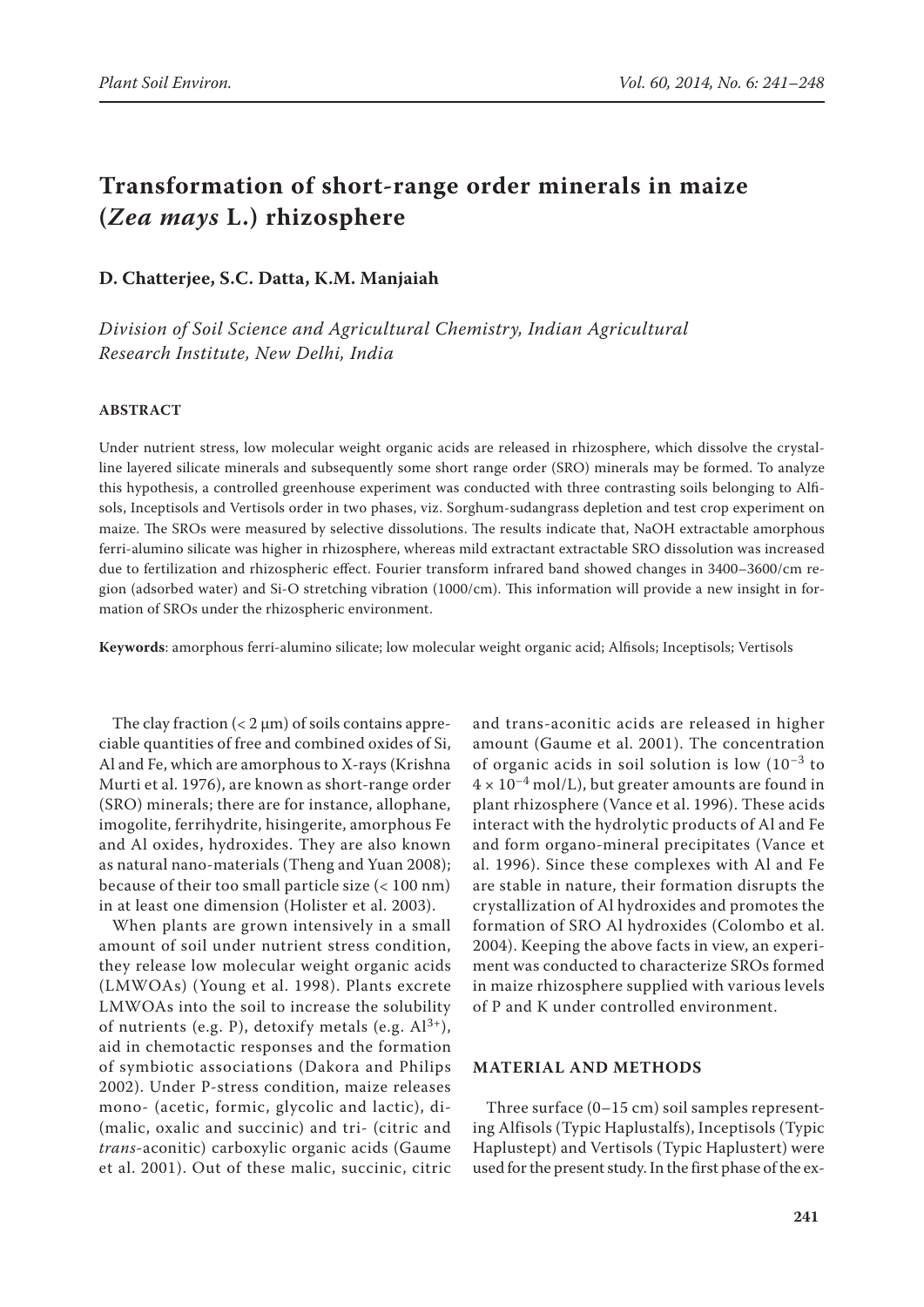# **Transformation of short-range order minerals in maize (***Zea mays* **L.) rhizosphere**

## **D. Chatterjee, S.C. Datta, K.M. Manjaiah**

*Division of Soil Science and Agricultural Chemistry, Indian Agricultural Research Institute, New Delhi, India*

#### **ABSTRACT**

Under nutrient stress, low molecular weight organic acids are released in rhizosphere, which dissolve the crystalline layered silicate minerals and subsequently some short range order (SRO) minerals may be formed. To analyze this hypothesis, a controlled greenhouse experiment was conducted with three contrasting soils belonging to Alfisols, Inceptisols and Vertisols order in two phases, viz. Sorghum-sudangrass depletion and test crop experiment on maize. The SROs were measured by selective dissolutions. The results indicate that, NaOH extractable amorphous ferri-alumino silicate was higher in rhizosphere, whereas mild extractant extractable SRO dissolution was increased due to fertilization and rhizospheric effect. Fourier transform infrared band showed changes in 3400–3600/cm region (adsorbed water) and Si-O stretching vibration (1000/cm). This information will provide a new insight in formation of SROs under the rhizospheric environment.

**Keywords**: amorphous ferri-alumino silicate; low molecular weight organic acid; Alfisols; Inceptisols; Vertisols

The clay fraction  $(< 2 \mu m)$  of soils contains appreciable quantities of free and combined oxides of Si, Al and Fe, which are amorphous to X-rays (Krishna Murti et al. 1976), are known as short-range order (SRO) minerals; there are for instance, allophane, imogolite, ferrihydrite, hisingerite, amorphous Fe and Al oxides, hydroxides. They are also known as natural nano-materials (Theng and Yuan 2008); because of their too small particle size (< 100 nm) in at least one dimension (Holister et al. 2003).

When plants are grown intensively in a small amount of soil under nutrient stress condition, they release low molecular weight organic acids (LMWOAs) (Young et al. 1998). Plants excrete LMWOAs into the soil to increase the solubility of nutrients (e.g. P), detoxify metals (e.g.  $Al^{3+}$ ), aid in chemotactic responses and the formation of symbiotic associations (Dakora and Philips 2002). Under P-stress condition, maize releases mono- (acetic, formic, glycolic and lactic), di- (malic, oxalic and succinic) and tri- (citric and *trans*-aconitic) carboxylic organic acids (Gaume et al. 2001). Out of these malic, succinic, citric

and trans-aconitic acids are released in higher amount (Gaume et al. 2001). The concentration of organic acids in soil solution is low  $(10^{-3}$  to  $4 \times 10^{-4}$  mol/L), but greater amounts are found in plant rhizosphere (Vance et al. 1996). These acids interact with the hydrolytic products of Al and Fe and form organo-mineral precipitates (Vance et al. 1996). Since these complexes with Al and Fe are stable in nature, their formation disrupts the crystallization of Al hydroxides and promotes the formation of SRO Al hydroxides (Colombo et al. 2004). Keeping the above facts in view, an experiment was conducted to characterize SROs formed in maize rhizosphere supplied with various levels of P and K under controlled environment.

### **MATERIAL AND METHODS**

Three surface  $(0-15 \text{ cm})$  soil samples representing Alfisols (Typic Haplustalfs), Inceptisols (Typic Haplustept) and Vertisols (Typic Haplustert) were used for the present study. In the first phase of the ex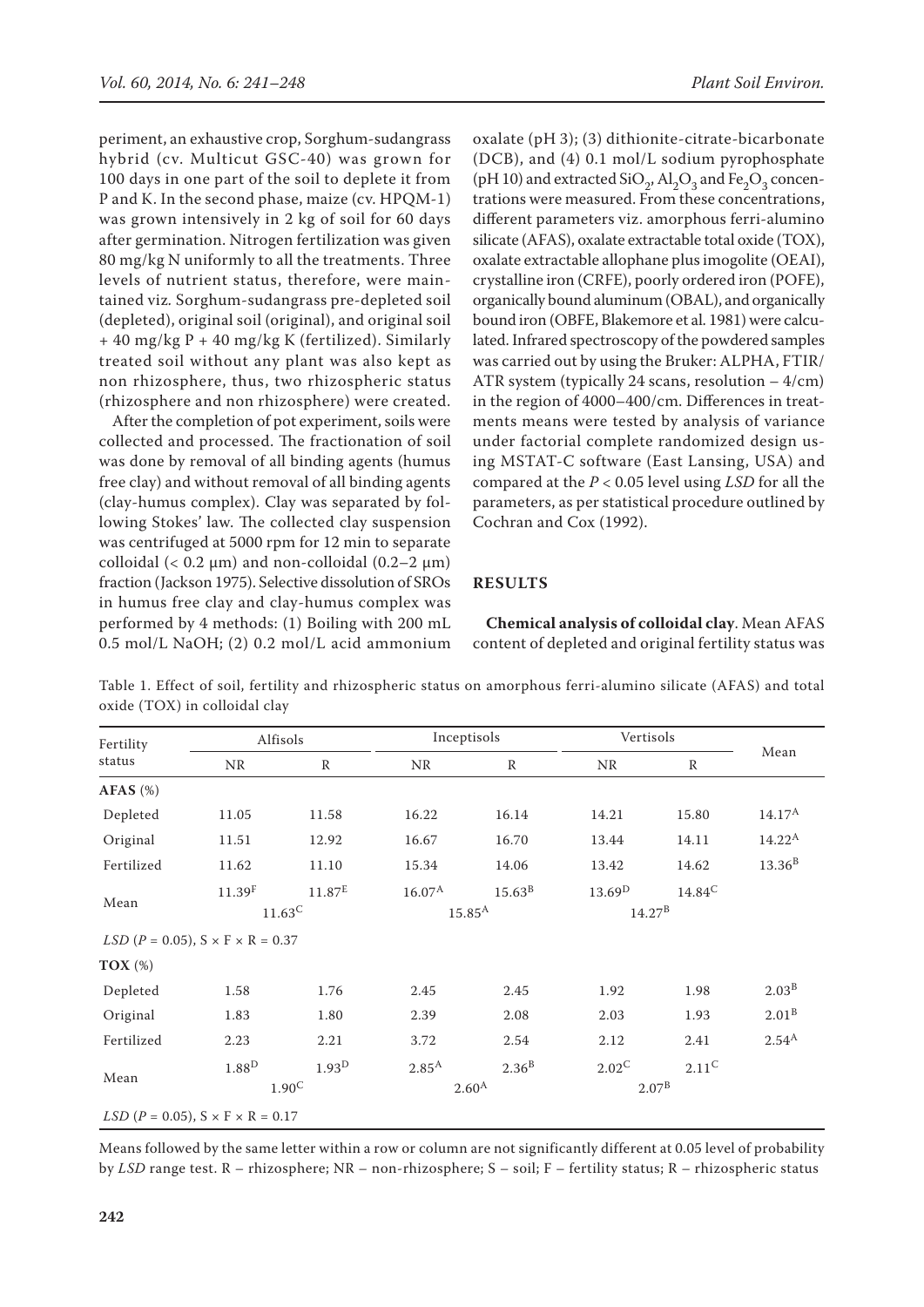periment, an exhaustive crop, Sorghum-sudangrass hybrid (cv. Multicut GSC-40) was grown for 100 days in one part of the soil to deplete it from P and K. In the second phase, maize (cv. HPQM-1) was grown intensively in 2 kg of soil for 60 days after germination. Nitrogen fertilization was given 80 mg/kg N uniformly to all the treatments. Three levels of nutrient status, therefore, were maintained viz*.* Sorghum-sudangrass pre-depleted soil (depleted), original soil (original), and original soil + 40 mg/kg P + 40 mg/kg K (fertilized). Similarly treated soil without any plant was also kept as non rhizosphere, thus, two rhizospheric status (rhizosphere and non rhizosphere) were created.

After the completion of pot experiment, soils were collected and processed. The fractionation of soil was done by removal of all binding agents (humus free clay) and without removal of all binding agents (clay-humus complex). Clay was separated by following Stokes' law. The collected clay suspension was centrifuged at 5000 rpm for 12 min to separate colloidal (<  $0.2 \mu m$ ) and non-colloidal ( $0.2-2 \mu m$ ) fraction (Jackson 1975). Selective dissolution of SROs in humus free clay and clay-humus complex was performed by 4 methods: (1) Boiling with 200 mL 0.5 mol/L NaOH; (2) 0.2 mol/L acid ammonium

oxalate (pH 3); (3) dithionite-citrate-bicarbonate (DCB), and (4) 0.1 mol/L sodium pyrophosphate (pH 10) and extracted  $\text{SiO}_2$ ,  $\text{Al}_2\text{O}_3$  and  $\text{Fe}_2\text{O}_3$  concentrations were measured. From these concentrations, different parameters viz. amorphous ferri-alumino silicate (AFAS), oxalate extractable total oxide (TOX), oxalate extractable allophane plus imogolite (OEAI), crystalline iron (CRFE), poorly ordered iron (POFE), organically bound aluminum (OBAL), and organically bound iron (OBFE, Blakemore et al. 1981) were calculated. Infrared spectroscopy of the powdered samples was carried out by using the Bruker: ALPHA, FTIR/ ATR system (typically 24 scans, resolution – 4/cm) in the region of 4000–400/cm. Differences in treatments means were tested by analysis of variance under factorial complete randomized design using MSTAT-C software (East Lansing, USA) and compared at the *P* < 0.05 level using *LSD* for all the parameters, as per statistical procedure outlined by Cochran and Cox (1992).

#### **RESULTS**

**Chemical analysis of colloidal clay**. Mean AFAS content of depleted and original fertility status was

| Fertility<br>status | Alfisols                                     |                    | Inceptisols       |                 | Vertisols          |              |                   |
|---------------------|----------------------------------------------|--------------------|-------------------|-----------------|--------------------|--------------|-------------------|
|                     | <b>NR</b>                                    | $\mathbb{R}$       | NR                | $\mathbb{R}$    | <b>NR</b>          | $\mathbb{R}$ | Mean              |
| $AFAS$ (%)          |                                              |                    |                   |                 |                    |              |                   |
| Depleted            | 11.05                                        | 11.58              | 16.22             | 16.14           | 14.21              | 15.80        | $14.17^{\rm A}$   |
| Original            | 11.51                                        | 12.92              | 16.67             | 16.70           | 13.44              | 14.11        | $14.22^{\rm A}$   |
| Fertilized          | 11.62                                        | 11.10              | 15.34             | 14.06           | 13.42              | 14.62        | $13.36^B$         |
| Mean                | 11.39 <sup>F</sup>                           | 11.87 <sup>E</sup> | $16.07^{\rm A}$   | $15.63^{\rm B}$ | 13.69 <sup>D</sup> | $14.84^C$    |                   |
|                     | $11.63^C$                                    |                    | $15.85^{\rm A}$   |                 | $14.27^{\rm B}$    |              |                   |
|                     | $LSD (P = 0.05), S \times F \times R = 0.37$ |                    |                   |                 |                    |              |                   |
| TOX $(\%)$          |                                              |                    |                   |                 |                    |              |                   |
| Depleted            | 1.58                                         | 1.76               | 2.45              | 2.45            | 1.92               | 1.98         | $2.03^{B}$        |
| Original            | 1.83                                         | 1.80               | 2.39              | 2.08            | 2.03               | 1.93         | $2.01^{B}$        |
| Fertilized          | 2.23                                         | 2.21               | 3.72              | 2.54            | 2.12               | 2.41         | 2.54 <sup>A</sup> |
| Mean                | $1.88^{\rm D}$                               | 1.93 <sup>D</sup>  | 2.85 <sup>A</sup> | $2.36^{B}$      | $2.02^C$           | $2.11^C$     |                   |
|                     | $1.90^{\circ}$                               |                    | $2.60^{A}$        |                 | $2.07^{\rm B}$     |              |                   |
|                     | $LSD (P = 0.05), S \times F \times R = 0.17$ |                    |                   |                 |                    |              |                   |

Table 1. Effect of soil, fertility and rhizospheric status on amorphous ferri-alumino silicate (AFAS) and total oxide (TOX) in colloidal clay

Means followed by the same letter within a row or column are not significantly different at 0.05 level of probability by *LSD* range test. R – rhizosphere; NR – non-rhizosphere; S – soil; F – fertility status; R – rhizospheric status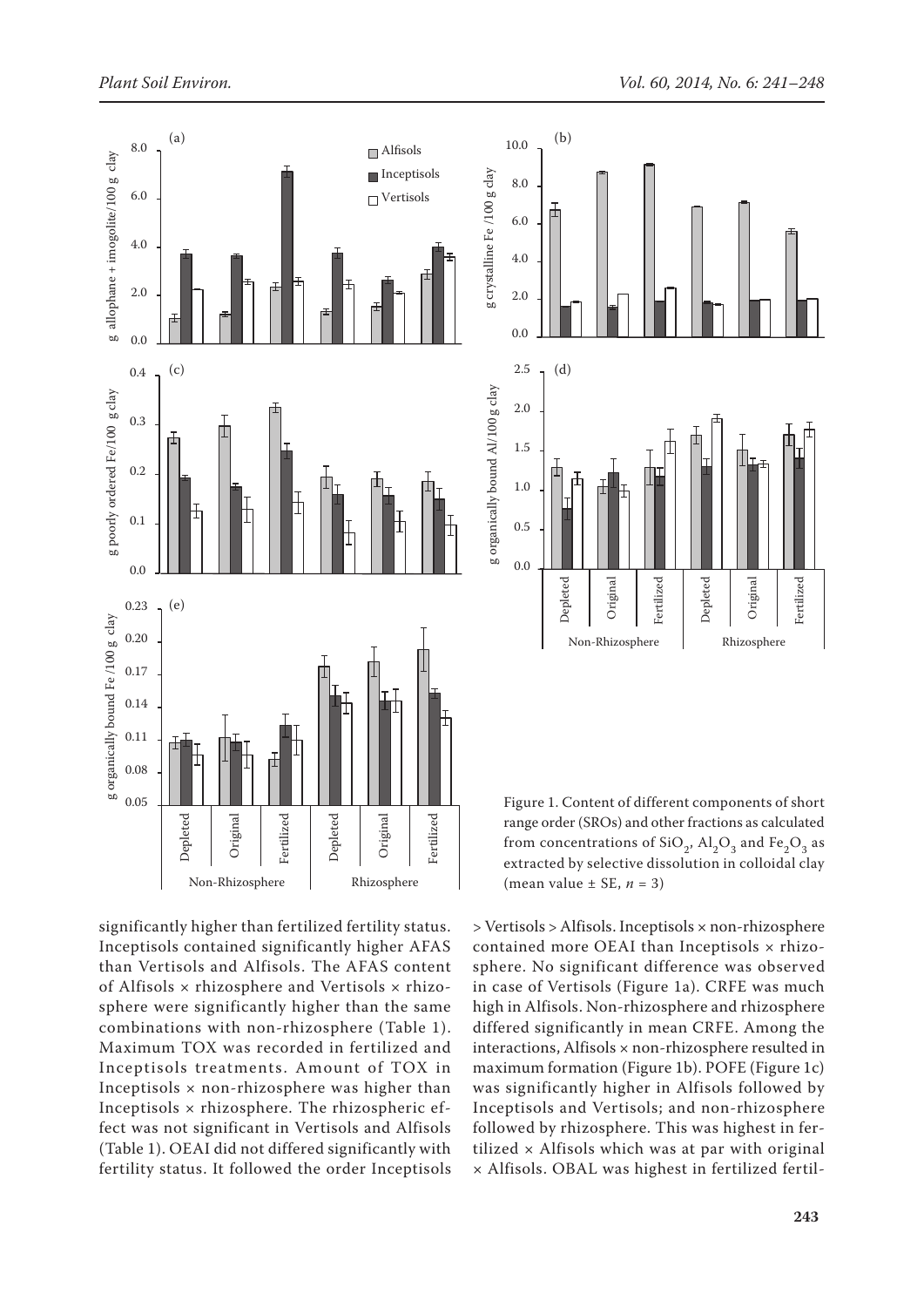



Figure 1. Content of different components of short range order (SROs) and other fractions as calculated from concentrations of  $SiO<sub>2</sub>$ ,  $Al<sub>2</sub>O<sub>3</sub>$  and Fe<sub>2</sub>O<sub>3</sub> as extracted by selective dissolution in colloidal clay (mean value  $\pm$  SE,  $n = 3$ )

significantly higher than fertilized fertility status. Inceptisols contained significantly higher AFAS than Vertisols and Alfisols. The AFAS content of Alfisols  $\times$  rhizosphere and Vertisols  $\times$  rhizosphere were significantly higher than the same combinations with non-rhizosphere (Table 1). Maximum TOX was recorded in fertilized and Inceptisols treatments. Amount of TOX in Inceptisols  $\times$  non-rhizosphere was higher than Inceptisols × rhizosphere. The rhizospheric effect was not significant in Vertisols and Alfisols (Table 1). OEAI did not differed significantly with fertility status. It followed the order Inceptisols

> Vertisols > Alfisols. Inceptisols × non-rhizosphere contained more OEAI than Inceptisols x rhizosphere. No significant difference was observed in case of Vertisols (Figure 1a). CRFE was much high in Alfisols. Non-rhizosphere and rhizosphere differed significantly in mean CRFE. Among the interactions, Alfisols × non-rhizosphere resulted in maximum formation (Figure 1b). POFE (Figure 1c) was significantly higher in Alfisols followed by Inceptisols and Vertisols; and non-rhizosphere followed by rhizosphere. This was highest in fertilized  $\times$  Alfisols which was at par with original × Alfisols. OBAL was highest in fertilized fertil-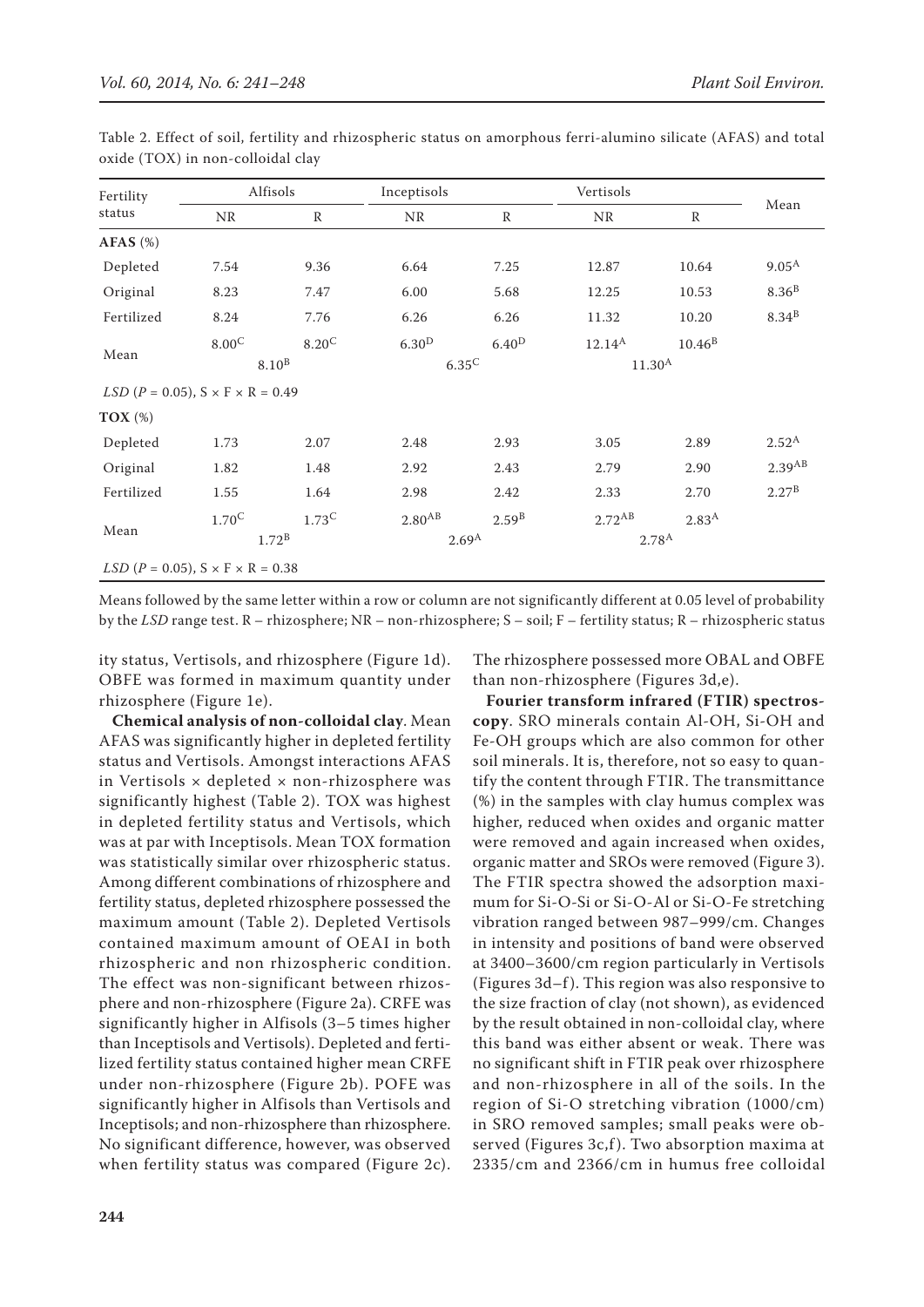| Fertility<br>status                          | Alfisols          |                | Inceptisols        |                   | Vertisols   |                   |                      |
|----------------------------------------------|-------------------|----------------|--------------------|-------------------|-------------|-------------------|----------------------|
|                                              | <b>NR</b>         | $\mathbb{R}$   | <b>NR</b>          | $\mathbb{R}$      | <b>NR</b>   | $\mathbb{R}$      | Mean                 |
| $AFAS$ (%)                                   |                   |                |                    |                   |             |                   |                      |
| Depleted                                     | 7.54              | 9.36           | 6.64               | 7.25              | 12.87       | 10.64             | $9.05^{A}$           |
| Original                                     | 8.23              | 7.47           | 6.00               | 5.68              | 12.25       | 10.53             | 8.36 <sup>B</sup>    |
| Fertilized                                   | 8.24              | 7.76           | 6.26               | 6.26              | 11.32       | 10.20             | 8.34 <sup>B</sup>    |
| Mean                                         | $8.00^{\circ}$    | $8.20^{\circ}$ | 6.30 <sup>D</sup>  | 6.40 <sup>D</sup> | $12.14^{A}$ | $10.46^{B}$       |                      |
|                                              | 8.10 <sup>B</sup> |                | $6.35^{\rm C}$     |                   | $11.30^{A}$ |                   |                      |
| $LSD (P = 0.05), S \times F \times R = 0.49$ |                   |                |                    |                   |             |                   |                      |
| $TOX(\%)$                                    |                   |                |                    |                   |             |                   |                      |
| Depleted                                     | 1.73              | 2.07           | 2.48               | 2.93              | 3.05        | 2.89              | $2.52^{A}$           |
| Original                                     | 1.82              | 1.48           | 2.92               | 2.43              | 2.79        | 2.90              | $2.39$ <sup>AB</sup> |
| Fertilized                                   | 1.55              | 1.64           | 2.98               | 2.42              | 2.33        | 2.70              | $2.27^{\rm B}$       |
| Mean                                         | $1.70^{\circ}$    | $1.73^C$       | 2.80 <sup>AB</sup> | $2.59^{B}$        | $2.72^{AB}$ | 2.83 <sup>A</sup> |                      |
|                                              | 1.72 <sup>B</sup> |                | $2.69^{A}$         |                   | $2.78^{A}$  |                   |                      |
| $LSD (P = 0.05), S \times F \times R = 0.38$ |                   |                |                    |                   |             |                   |                      |

Table 2. Effect of soil, fertility and rhizospheric status on amorphous ferri-alumino silicate (AFAS) and total oxide (TOX) in non-colloidal clay

Means followed by the same letter within a row or column are not significantly different at 0.05 level of probability by the *LSD* range test. R – rhizosphere; NR – non-rhizosphere; S – soil; F – fertility status; R – rhizospheric status

ity status, Vertisols, and rhizosphere (Figure 1d). OBFE was formed in maximum quantity under rhizosphere (Figure 1e).

The rhizosphere possessed more OBAL and OBFE than non-rhizosphere (Figures 3d,e).

**Chemical analysis of non-colloidal clay**. Mean AFAS was significantly higher in depleted fertility status and Vertisols. Amongst interactions AFAS in Vertisols  $\times$  depleted  $\times$  non-rhizosphere was significantly highest (Table 2). TOX was highest in depleted fertility status and Vertisols, which was at par with Inceptisols. Mean TOX formation was statistically similar over rhizospheric status. Among different combinations of rhizosphere and fertility status, depleted rhizosphere possessed the maximum amount (Table 2). Depleted Vertisols contained maximum amount of OEAI in both rhizospheric and non rhizospheric condition. The effect was non-significant between rhizosphere and non-rhizosphere (Figure 2a). CRFE was significantly higher in Alfisols (3–5 times higher than Inceptisols and Vertisols). Depleted and fertilized fertility status contained higher mean CRFE under non-rhizosphere (Figure 2b). POFE was significantly higher in Alfisols than Vertisols and Inceptisols; and non-rhizosphere than rhizosphere. No significant difference, however, was observed when fertility status was compared (Figure 2c).

**Fourier transform infrared (FTIR) spectroscopy**. SRO minerals contain Al-OH, Si-OH and Fe-OH groups which are also common for other soil minerals. It is, therefore, not so easy to quantify the content through FTIR. The transmittance (%) in the samples with clay humus complex was higher, reduced when oxides and organic matter were removed and again increased when oxides, organic matter and SROs were removed (Figure 3). The FTIR spectra showed the adsorption maximum for Si-O-Si or Si-O-Al or Si-O-Fe stretching vibration ranged between 987–999/cm. Changes in intensity and positions of band were observed at 3400–3600/cm region particularly in Vertisols (Figures 3d–f). This region was also responsive to the size fraction of clay (not shown), as evidenced by the result obtained in non-colloidal clay, where this band was either absent or weak. There was no significant shift in FTIR peak over rhizosphere and non-rhizosphere in all of the soils. In the region of Si-O stretching vibration (1000/cm) in SRO removed samples; small peaks were observed (Figures 3c,f). Two absorption maxima at 2335/cm and 2366/cm in humus free colloidal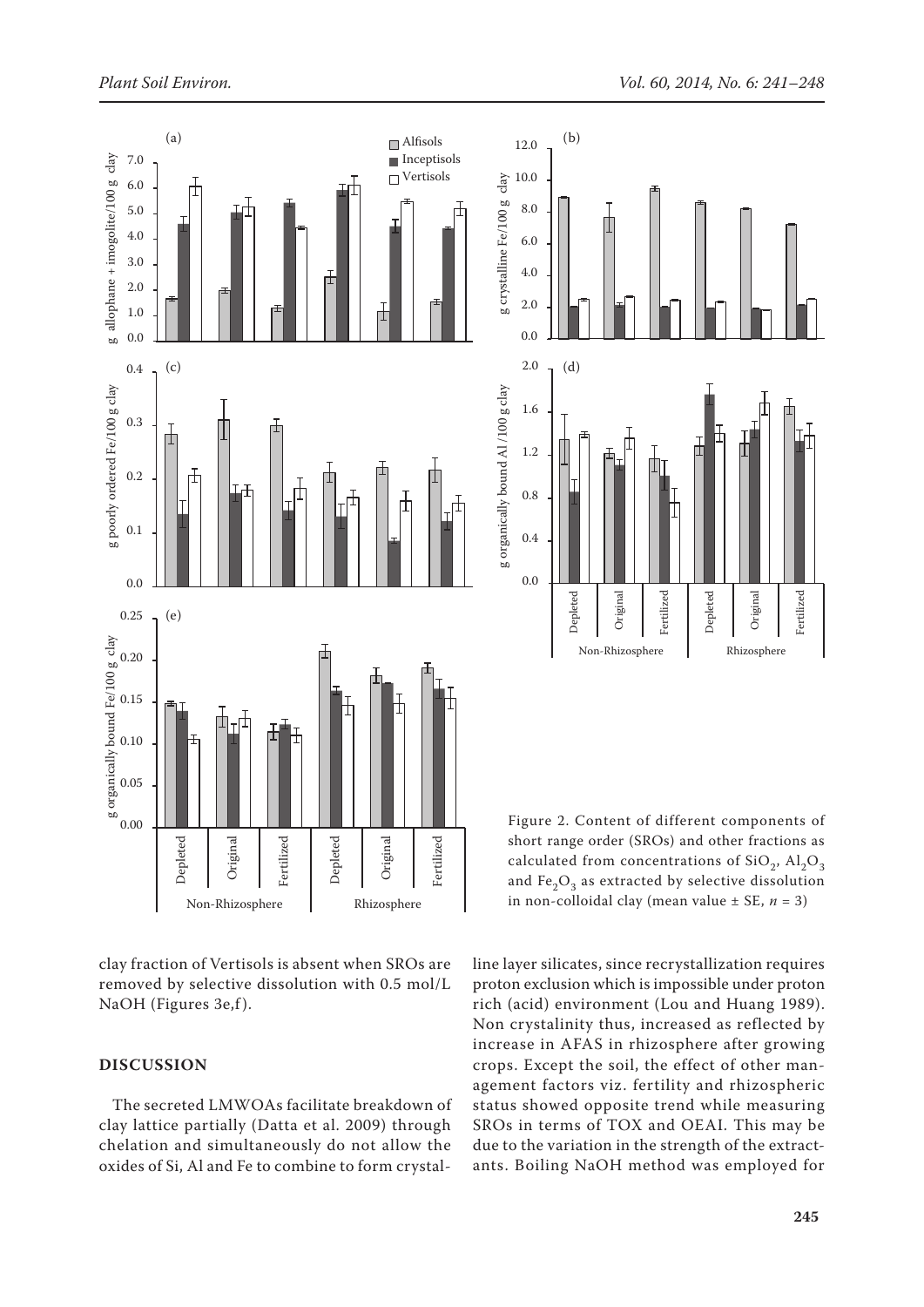

clay fraction of Vertisols is absent when SROs are removed by selective dissolution with 0.5 mol/L NaOH (Figures 3e,f).

## **DISCUSSION**

The secreted LMWOAs facilitate breakdown of clay lattice partially (Datta et al. 2009) through chelation and simultaneously do not allow the oxides of Si, Al and Fe to combine to form crystal-



Figure 2. Content of different components of short range order (SROs) and other fractions as calculated from concentrations of  $SiO<sub>2</sub>$ ,  $Al<sub>2</sub>O<sub>3</sub>$ and Fe<sub>2</sub>O<sub>3</sub> as extracted by selective dissolution in non-colloidal clay (mean value ± SE, *n* = 3)

line layer silicates, since recrystallization requires proton exclusion which is impossible under proton rich (acid) environment (Lou and Huang 1989). Non crystalinity thus, increased as reflected by increase in AFAS in rhizosphere after growing crops. Except the soil, the effect of other management factors viz. fertility and rhizospheric status showed opposite trend while measuring SROs in terms of TOX and OEAI. This may be due to the variation in the strength of the extractants. Boiling NaOH method was employed for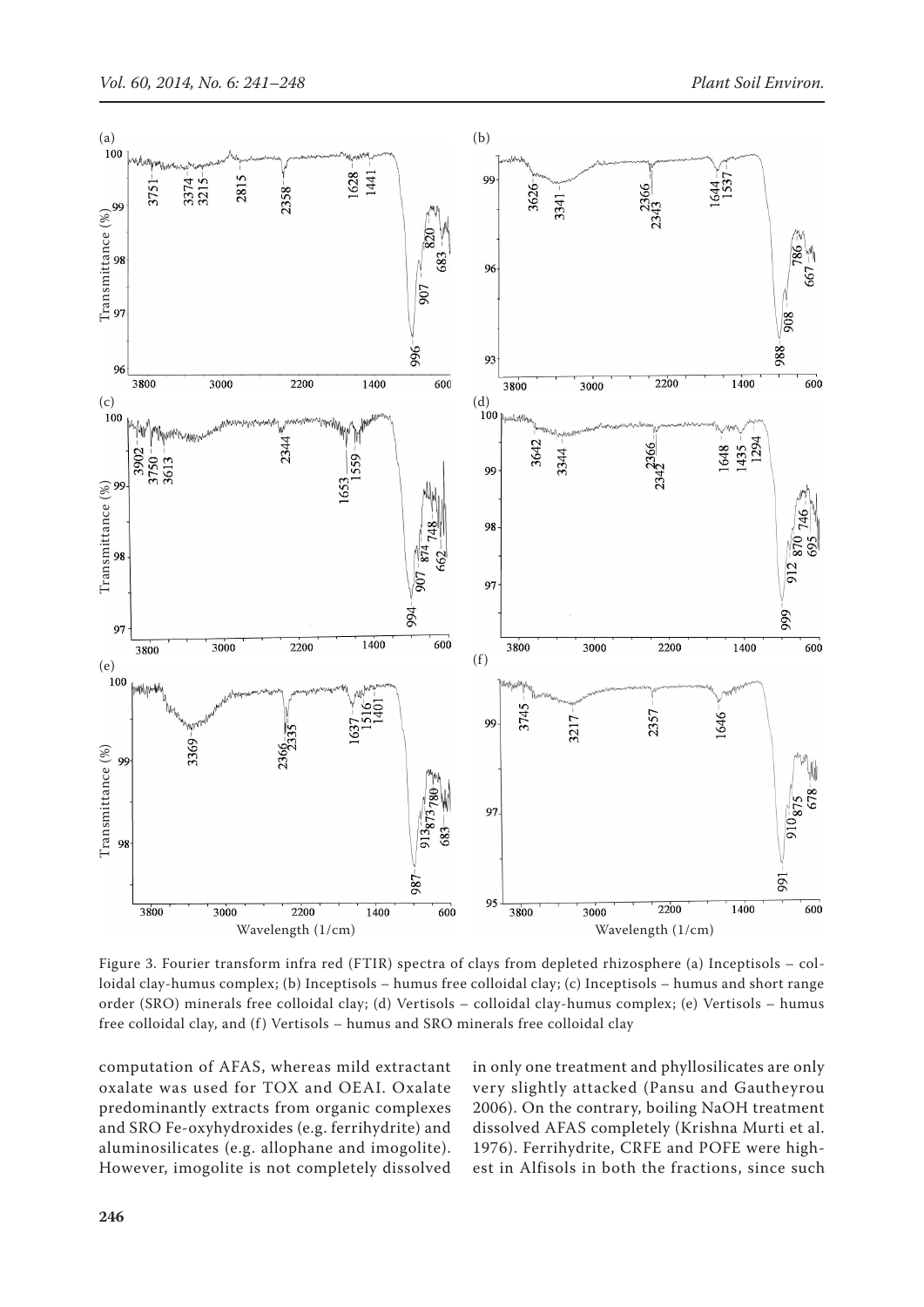

Figure 3. Fourier transform infra red (FTIR) spectra of clays from depleted rhizosphere (a) Inceptisols – colloidal clay-humus complex; (b) Inceptisols – humus free colloidal clay; (c) Inceptisols – humus and short range order (SRO) minerals free colloidal clay; (d) Vertisols – colloidal clay-humus complex; (e) Vertisols – humus free colloidal clay, and (f) Vertisols - humus and SRO minerals free colloidal clay

computation of AFAS, whereas mild extractant oxalate was used for TOX and OEAI. Oxalate predominantly extracts from organic complexes and SRO Fe-oxyhydroxides (e.g. ferrihydrite) and aluminosilicates (e.g. allophane and imogolite). However, imogolite is not completely dissolved in only one treatment and phyllosilicates are only very slightly attacked (Pansu and Gautheyrou 2006). On the contrary, boiling NaOH treatment dissolved AFAS completely (Krishna Murti et al. 1976). Ferrihydrite, CRFE and POFE were highest in Alfisols in both the fractions, since such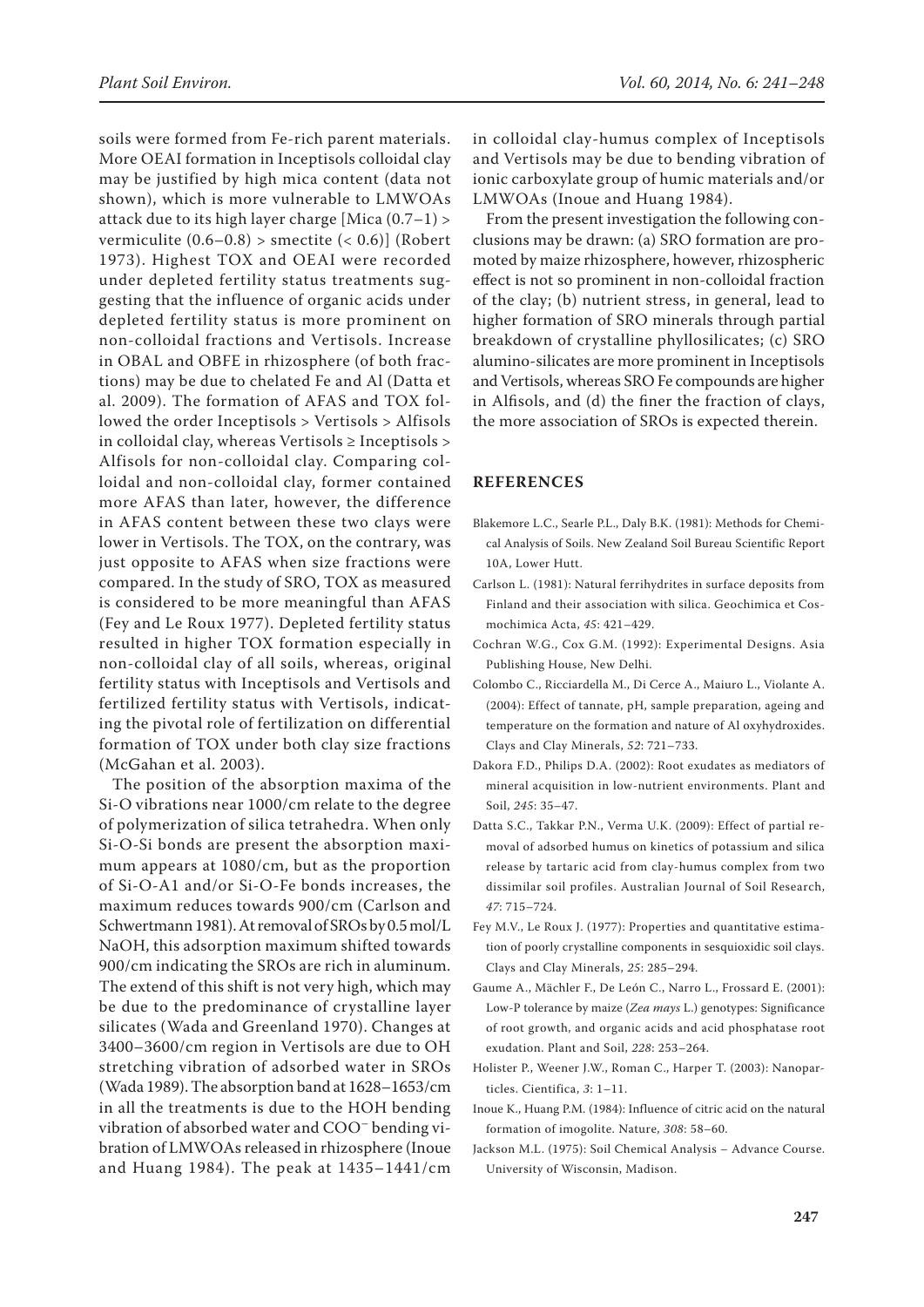soils were formed from Fe-rich parent materials. More OEAI formation in Inceptisols colloidal clay may be justified by high mica content (data not shown), which is more vulnerable to LMWOAs attack due to its high layer charge [Mica (0.7–1) > vermiculite  $(0.6-0.8)$  > smectite  $( $0.6$ )] (Robert$ 1973). Highest TOX and OEAI were recorded under depleted fertility status treatments suggesting that the influence of organic acids under depleted fertility status is more prominent on non-colloidal fractions and Vertisols. Increase in OBAL and OBFE in rhizosphere (of both fractions) may be due to chelated Fe and Al (Datta et al. 2009). The formation of AFAS and TOX followed the order Inceptisols > Vertisols > Alfisols in colloidal clay, whereas Vertisols ≥ Inceptisols > Alfisols for non-colloidal clay. Comparing colloidal and non-colloidal clay, former contained more AFAS than later, however, the difference in AFAS content between these two clays were lower in Vertisols. The TOX, on the contrary, was just opposite to AFAS when size fractions were compared. In the study of SRO, TOX as measured is considered to be more meaningful than AFAS (Fey and Le Roux 1977). Depleted fertility status resulted in higher TOX formation especially in non-colloidal clay of all soils, whereas, original fertility status with Inceptisols and Vertisols and fertilized fertility status with Vertisols, indicating the pivotal role of fertilization on differential formation of TOX under both clay size fractions (McGahan et al. 2003).

The position of the absorption maxima of the Si-O vibrations near 1000/cm relate to the degree of polymerization of silica tetrahedra. When only Si-O-Si bonds are present the absorption maximum appears at 1080/cm, but as the proportion of Si-O-A1 and/or Si-O-Fe bonds increases, the maximum reduces towards 900/cm (Carlson and Schwertmann 1981). At removal of SROs by 0.5 mol/L NaOH, this adsorption maximum shifted towards 900/cm indicating the SROs are rich in aluminum. The extend of this shift is not very high, which may be due to the predominance of crystalline layer silicates (Wada and Greenland 1970). Changes at 3400–3600/cm region in Vertisols are due to OH stretching vibration of adsorbed water in SROs (Wada 1989). The absorption band at 1628–1653/cm in all the treatments is due to the HOH bending vibration of absorbed water and COO– bending vibration of LMWOAs released in rhizosphere (Inoue and Huang 1984). The peak at 1435–1441/cm

in colloidal clay-humus complex of Inceptisols and Vertisols may be due to bending vibration of ionic carboxylate group of humic materials and/or LMWOAs (Inoue and Huang 1984).

From the present investigation the following conclusions may be drawn: (a) SRO formation are promoted by maize rhizosphere, however, rhizospheric effect is not so prominent in non-colloidal fraction of the clay; (b) nutrient stress, in general, lead to higher formation of SRO minerals through partial breakdown of crystalline phyllosilicates; (c) SRO alumino-silicates are more prominent in Inceptisols and Vertisols, whereas SRO Fe compounds are higher in Alfisols, and (d) the finer the fraction of clays, the more association of SROs is expected therein.

#### **REFERENCES**

- Blakemore L.C., Searle P.L., Daly B.K. (1981): Methods for Chemical Analysis of Soils. New Zealand Soil Bureau Scientific Report 10A, Lower Hutt.
- Carlson L. (1981): Natural ferrihydrites in surface deposits from Finland and their association with silica. Geochimica et Cosmochimica Acta, *45*: 421–429.
- Cochran W.G., Cox G.M. (1992): Experimental Designs. Asia Publishing House, New Delhi.
- Colombo C., Ricciardella M., Di Cerce A., Maiuro L., Violante A. (2004): Effect of tannate, pH, sample preparation, ageing and temperature on the formation and nature of Al oxyhydroxides. Clays and Clay Minerals, *52*: 721–733.
- Dakora F.D., Philips D.A. (2002): Root exudates as mediators of mineral acquisition in low-nutrient environments. Plant and Soil, *245*: 35–47.
- Datta S.C., Takkar P.N., Verma U.K. (2009): Effect of partial removal of adsorbed humus on kinetics of potassium and silica release by tartaric acid from clay-humus complex from two dissimilar soil profiles. Australian Journal of Soil Research, *47*: 715–724.
- Fey M.V., Le Roux J. (1977): Properties and quantitative estimation of poorly crystalline components in sesquioxidic soil clays. Clays and Clay Minerals, *25*: 285–294.
- Gaume A., Mächler F., De León C., Narro L., Frossard E. (2001): Low-P tolerance by maize (*Zea mays* L.) genotypes: Significance of root growth, and organic acids and acid phosphatase root exudation. Plant and Soil, *228*: 253–264.
- Holister P., Weener J.W., Roman C., Harper T. (2003): Nanoparticles. Cientifica, *3*: 1–11.
- Inoue K., Huang P.M. (1984): Influence of citric acid on the natural formation of imogolite. Nature, *308*: 58–60.
- Jackson M.L. (1975): Soil Chemical Analysis Advance Course. University of Wisconsin, Madison.